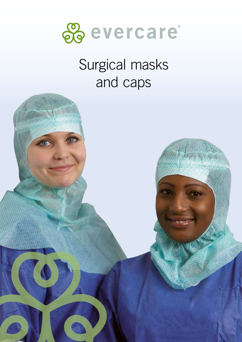

# Surgical masks and caps

 $\bullet$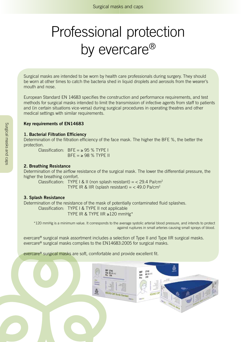# Professional protection by evercare<sup>®</sup>

Surgical masks are intended to be worn by health care professionals during surgery. They should be worn at other times to catch the bacteria shed in liquid droplets and aerosols from the wearer's mouth and nose.

European Standard EN 14683 specifies the construction and performance requirements, and test methods for surgical masks intended to limit the transmission of infective agents from staff to patients and (in certain situations vice-versa) during surgical procedures in operating theatres and other medical settings with similar requirements.

#### **Key requirements of EN14683**

#### **1. Bacterial Filtration Efficiency**

Determination of the filtration efficiency of the face mask. The higher the BFE %, the better the protection.

Classification:  $BFF = 95 % TYPF I$  $BFF = \geq 98$  % TYPF II

#### **2. Breathing Resistance**

Determination of the airflow resistance of the surgical mask. The lower the differential pressure, the higher the breathing comfort.

Classification: TYPE I & II (non splash resistant) =  $<$  29.4 Pa/cm<sup>2</sup> TYPE IR & IIR (splash resistant) =  $<$  49.0 Pa/cm<sup>2</sup>

#### **3. Splash Resistance**

Determination of the resistance of the mask of potentially contaminated fluid splashes.

Classification: TYPE I & TYPE II not applicable TYPE IR & TYPE IIR ≥120 mmHg\*

\*120 mmHg is a minimum value. It corresponds to the average systolic arterial blood pressure, and intends to protect against ruptures in small arteries causing small sprays of blood.

evercare® surgical mask assortment includes a selection of Type II and Type IIR surgical masks. evercare® surgical masks complies to the EN14683:2005 for surgical masks.

evercare® surgical masks are soft, comfortable and provide excellent fit.

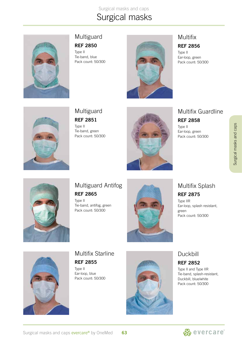Surgical masks and caps Surgical masks



#### Multiguard **REF 2850**

Type II Tie-band, blue Pack count: 50/300



# Multifix

#### **REF 2856**

Type II Ear-loop, green Pack count: 50/300



**Multiguard REF 2851**

Type II Tie-band, green Pack count: 50/300



### Multifix Guardline

**REF 2858**

Type II Ear-loop, green Pack count: 50/300



## Multiguard Antifog **REF 2865**

Type II Tie-band, antifog, green Pack count: 50/300



### Multifix Splash **REF 2875**

Type IIR Ear-loop, splash resistant, green Pack count: 50/300



## Multifix Starline **REF 2855**

Type II Ear-loop, blue Pack count: 50/300



# Duckbill

#### **REF 2852**

Type II and Type IIR Tie-band, splash-resistant, Duckbill, blue/white Pack count: 50/300

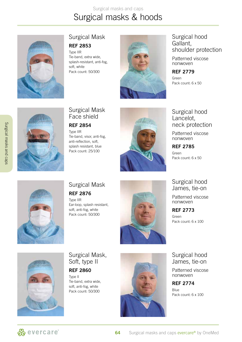# Surgical masks and caps Surgical masks & hoods



#### Surgical Mask

#### **REF 2853**

Type IIR Tie-band, extra wide, splash-resistant, anti-fog, soft, white Pack count: 50/300



#### Surgical hood Gallant, shoulder protection

Patterned viscose nonwoven

**REF 2779** Green Pack count: 6 x 50



# Surgical Mask Face shield

#### **REF 2854**

Type IIR Tie-band, visor, anti-fog, anti-reflection, soft, splash resistant, blue Pack count: 25/100



#### Surgical hood Lancelot, neck protection

Patterned viscose nonwoven

**REF 2785** Green

Pack count: 6 x 50

#### Surgical hood James, tie-on

Patterned viscose nonwoven

**REF 2773**

Green Pack count: 6 x 100

Surgical hood James, tie-on

Patterned viscose nonwoven

**REF 2774**

Blue Pack count: 6 x 100



### Surgical Mask **REF 2876**

Type IIR Ear-loop, splash resistant, soft, anti-fog, white Pack count: 50/300





## Surgical Mask, Soft, type II

#### **REF 2860**

Type II Tie-band, extra wide, soft, anti-fog, white Pack count: 50/300



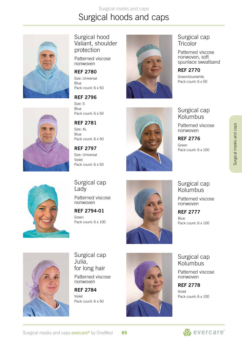# Surgical masks and caps Surgical hoods and caps



Surgical hood Valiant, shoulder protection

Patterned viscose nonwoven

#### **REF 2780**

Size: Universal Blue Pack count: 6 x 50



Size: S Blue Pack count: 6 x 50

**REF 2796**

**REF 2781** Size: XL Blue Pack count: 6 x 50

**REF 2797** Size: Universal Violet Pack count: 6 x 50



### Surgical cap **Tricolor**

Patterned viscose nonwoven, soft spunlace sweatband

**REF 2770** Green/blue/white Pack count: 6 x 50

Surgical cap Kolumbus

Patterned viscose nonwoven

**REF 2776** Green Pack count: 6 x 100



Surgical cap Lady

Patterned viscose nonwoven

**REF 2794-01** Green Pack count: 6 x 100



Surgical cap Kolumbus

Patterned viscose nonwoven

**REF 2777** Blue Pack count: 6 x 100



Surgical cap Julia, for long hair

Patterned viscose nonwoven

**REF 2784** Violet Pack count: 6 x 50



Surgical cap Kolumbus

Patterned viscose nonwoven

**REF 2778** Violet Pack count: 6 x 100

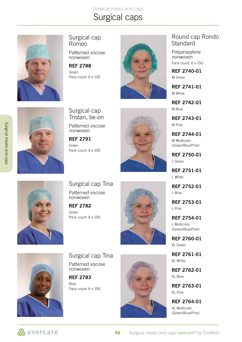Surgical masks and caps

# Surgical caps



#### Surgical cap Romeo

Patterned viscose nonwoven

**REF 2788** Green Pack count: 6 x 100



#### Round cap Rondo **Standard**

Polypropylene nonwoven Pack count: 6 x 150

**REF 2740-01** M Green

**REF 2741-01** M White

**REF 2742-01** M Blue

**REF 2743-01** M Pink

**REF 2744-01** M Multicolor (Green/Blue/Pink)

**REF 2750-01** L Green

**REF 2751-01** L White

**REF 2752-01** L Blue

**REF 2753-01** L Pink

**REF 2754-01** L Multicolor (Green/Blue/Pink)

**REF 2760-01** XL Green

**REF 2761-01** XL White

**REF 2762-01** XL Blue

**REF 2763-01** XL Pink

**REF 2764-01** XL Multicolor (Green/Blue/Pink)

Surgical cap Tristan, tie-on

Patterned viscose nonwoven

**REF 2791** Green Pack count: 6 x 100





Surgical cap Tina Patterned viscose nonwoven

**REF 2782** Green Pack count: 6 x 100





Surgical cap Tina Patterned viscose nonwoven

**REF 2783** Blue Pack count: 6 x 100



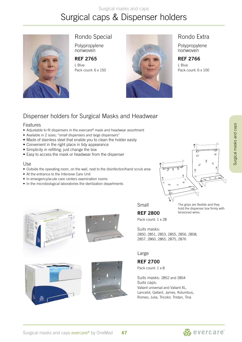#### Surgical masks and caps

# Surgical caps & Dispenser holders



Rondo Special

Polypropylene nonwoven

**REF 2765** L Blue Pack count: 6 x 150



#### Rondo Extra

Polypropylene nonwoven

**REF 2766**

L Blue Pack count: 6 x 100

## Dispenser holders for Surgical Masks and Headwear

#### Features

- Adjustable to fit dispensers in the evercare® mask and headwear assortment
- Available in 2 sizes; "small dispensers and large dispensers"
- Made of stainless steel that enable you to clean the holder easily
- Convenient in the right place in tidy appearance
- Simplicity in refilling; just change the box
- Easy to access the mask or headwear from the dispenser

#### Use

- Outside the operating room, on the wall, next to the disinfection/hand scrub area
- At the entrance to the Intensive Care Unit
- In emergency/acute care centers examination rooms
- In the microbiological laboratories the sterilization departments











Small

**REF 2800** Pack count: 1 x 28

hold the dispenser box firmly with tensioned wires.

Suits masks:

2850, 2851, 2853, 2855, 2856, 2858, 2857, 2860, 2865, 2875, 2876

#### Large

**REF 2700**

Pack count: 1 x 8

Suits masks: 2852 and 2854 Suits caps: Valiant universal and Valiant XL, Lancelot, Gallant, James, Kolumbus, Romeo, Julia, Tricolor, Tristan, Tina



Surgical masks and caps Surgical masks and caps